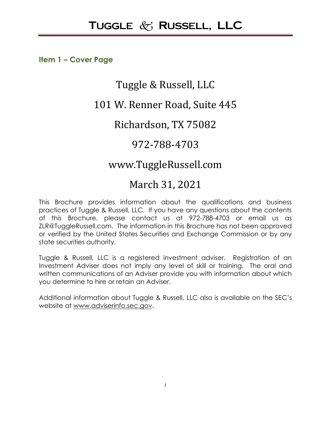**Item 1 – Cover Page**

# Tuggle & Russell, LLC

# 101 W. Renner Road, Suite 445

# Richardson, TX 75082

# 972-788-4703

# www.TuggleRussell.com

# March 31, 2021

This Brochure provides information about the qualifications and business practices of Tuggle & Russell, LLC. If you have any questions about the contents of this Brochure, please contact us at 972-788-4703 or email us as ZLR@TuggleRussell.com. The information in this Brochure has not been approved or verified by the United States Securities and Exchange Commission or by any state securities authority.

Tuggle & Russell, LLC is a registered investment adviser. Registration of an Investment Adviser does not imply any level of skill or training. The oral and written communications of an Adviser provide you with information about which you determine to hire or retain an Adviser.

Additional information about Tuggle & Russell, LLC also is available on the SEC's website at [www.adviserinfo.sec.gov.](http://www.adviserinfo.sec.gov/)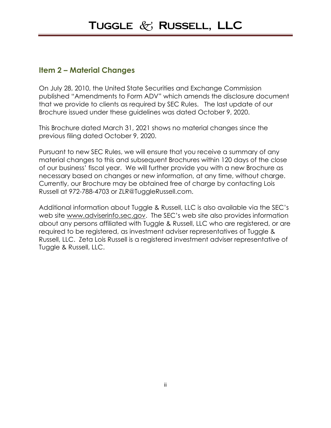#### **Item 2 – Material Changes**

On July 28, 2010, the United State Securities and Exchange Commission published "Amendments to Form ADV" which amends the disclosure document that we provide to clients as required by SEC Rules. The last update of our Brochure issued under these guidelines was dated October 9, 2020.

This Brochure dated March 31, 2021 shows no material changes since the previous filing dated October 9, 2020.

Pursuant to new SEC Rules, we will ensure that you receive a summary of any material changes to this and subsequent Brochures within 120 days of the close of our business' fiscal year. We will further provide you with a new Brochure as necessary based on changes or new information, at any time, without charge. Currently, our Brochure may be obtained free of charge by contacting Lois Russell at 972-788-4703 or ZLR@TuggleRussell.com.

Additional information about Tuggle & Russell, LLC is also available via the SEC's web site [www.adviserinfo.sec.gov](http://www.adviserinfo.sec.gov/). The SEC's web site also provides information about any persons affiliated with Tuggle & Russell, LLC who are registered, or are required to be registered, as investment adviser representatives of Tuggle & Russell, LLC. Zeta Lois Russell is a registered investment adviser representative of Tuggle & Russell, LLC.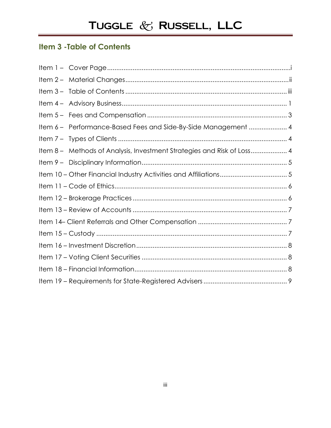# **Item 3 - Table of Contents**

| Item 6 - Performance-Based Fees and Side-By-Side Management  4         |
|------------------------------------------------------------------------|
|                                                                        |
| Item 8 - Methods of Analysis, Investment Strategies and Risk of Loss 4 |
|                                                                        |
|                                                                        |
|                                                                        |
|                                                                        |
|                                                                        |
|                                                                        |
|                                                                        |
|                                                                        |
|                                                                        |
|                                                                        |
|                                                                        |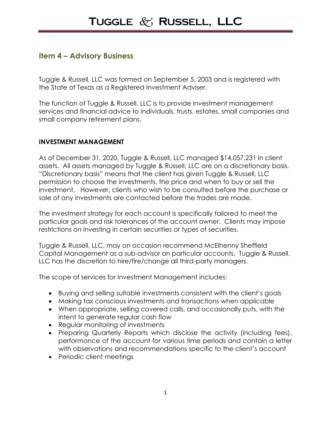### **Item 4 – Advisory Business**

Tuggle & Russell, LLC was formed on September 5, 2003 and is registered with the State of Texas as a Registered Investment Adviser.

The function of Tuggle & Russell, LLC is to provide investment management services and financial advice to individuals, trusts, estates, small companies and small company retirement plans.

#### **INVESTMENT MANAGEMENT**

As of December 31, 2020, Tuggle & Russell, LLC managed \$14,057,231 in client assets. All assets managed by Tuggle & Russell, LLC are on a discretionary basis. "Discretionary basis" means that the client has given Tuggle & Russell, LLC permission to choose the investments, the price and when to buy or sell the investment. However, clients who wish to be consulted before the purchase or sale of any investments are contacted before the trades are made.

The investment strategy for each account is specifically tailored to meet the particular goals and risk tolerances of the account owner. Clients may impose restrictions on investing in certain securities or types of securities.

Tuggle & Russell, LLC, may on occasion recommend McElhenny Sheffield Capital Management as a sub-advisor on particular accounts. Tuggle & Russell, LLC has the discretion to hire/fire/change all third-party managers.

The scope of services for Investment Management includes:

- Buying and selling suitable investments consistent with the client's goals
- Making tax conscious investments and transactions when applicable
- When appropriate, selling covered calls, and occasionally puts, with the intent to generate regular cash flow
- Regular monitoring of investments
- Preparing Quarterly Reports which disclose the activity (including fees), performance of the account for various time periods and contain a letter with observations and recommendations specific to the client's account
- Periodic client meetings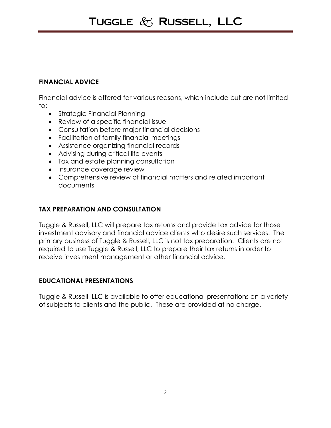#### **FINANCIAL ADVICE**

Financial advice is offered for various reasons, which include but are not limited to:

- Strategic Financial Planning
- Review of a specific financial issue
- Consultation before major financial decisions
- Facilitation of family financial meetings
- Assistance organizing financial records
- Advising during critical life events
- Tax and estate planning consultation
- Insurance coverage review
- Comprehensive review of financial matters and related important documents

#### **TAX PREPARATION AND CONSULTATION**

Tuggle & Russell, LLC will prepare tax returns and provide tax advice for those investment advisory and financial advice clients who desire such services. The primary business of Tuggle & Russell, LLC is not tax preparation. Clients are not required to use Tuggle & Russell, LLC to prepare their tax returns in order to receive investment management or other financial advice.

#### **EDUCATIONAL PRESENTATIONS**

Tuggle & Russell, LLC is available to offer educational presentations on a variety of subjects to clients and the public. These are provided at no charge.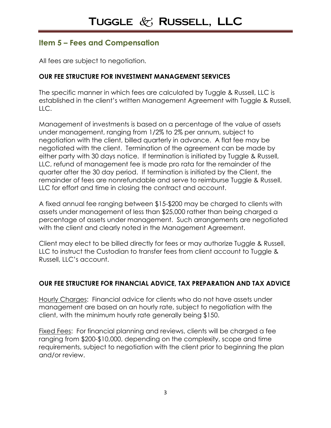## **Item 5 – Fees and Compensation**

All fees are subject to negotiation.

#### **OUR FEE STRUCTURE FOR INVESTMENT MANAGEMENT SERVICES**

The specific manner in which fees are calculated by Tuggle & Russell, LLC is established in the client's written Management Agreement with Tuggle & Russell,  $H C$ .

Management of investments is based on a percentage of the value of assets under management, ranging from 1/2% to 2% per annum, subject to negotiation with the client, billed quarterly in advance. A flat fee may be negotiated with the client. Termination of the agreement can be made by either party with 30 days notice. If termination is initiated by Tuggle & Russell, LLC, refund of management fee is made pro rata for the remainder of the quarter after the 30 day period. If termination is initiated by the Client, the remainder of fees are nonrefundable and serve to reimburse Tuggle & Russell, LLC for effort and time in closing the contract and account.

A fixed annual fee ranging between \$15-\$200 may be charged to clients with assets under management of less than \$25,000 rather than being charged a percentage of assets under management. Such arrangements are negotiated with the client and clearly noted in the Management Agreement.

Client may elect to be billed directly for fees or may authorize Tuggle & Russell, LLC to instruct the Custodian to transfer fees from client account to Tuggle & Russell, LLC's account.

#### **OUR FEE STRUCTURE FOR FINANCIAL ADVICE, TAX PREPARATION AND TAX ADVICE**

Hourly Charges: Financial advice for clients who do not have assets under management are based on an hourly rate, subject to negotiation with the client, with the minimum hourly rate generally being \$150.

Fixed Fees: For financial planning and reviews, clients will be charged a fee ranging from \$200-\$10,000, depending on the complexity, scope and time requirements, subject to negotiation with the client prior to beginning the plan and/or review.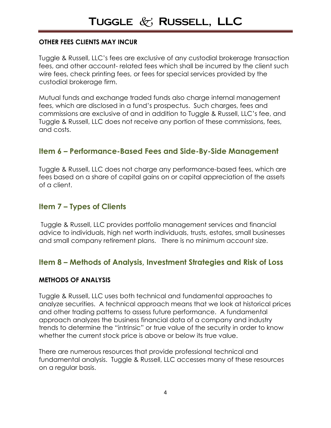#### **OTHER FEES CLIENTS MAY INCUR**

Tuggle & Russell, LLC's fees are exclusive of any custodial brokerage transaction fees, and other account- related fees which shall be incurred by the client such wire fees, check printing fees, or fees for special services provided by the custodial brokerage firm.

Mutual funds and exchange traded funds also charge internal management fees, which are disclosed in a fund's prospectus. Such charges, fees and commissions are exclusive of and in addition to Tuggle & Russell, LLC's fee, and Tuggle & Russell, LLC does not receive any portion of these commissions, fees, and costs.

### **Item 6 – Performance-Based Fees and Side-By-Side Management**

Tuggle & Russell, LLC does not charge any performance-based fees, which are fees based on a share of capital gains on or capital appreciation of the assets of a client.

### **Item 7 – Types of Clients**

Tuggle & Russell, LLC provides portfolio management services and financial advice to individuals, high net worth individuals, trusts, estates, small businesses and small company retirement plans. There is no minimum account size.

### **Item 8 – Methods of Analysis, Investment Strategies and Risk of Loss**

#### **METHODS OF ANALYSIS**

Tuggle & Russell, LLC uses both technical and fundamental approaches to analyze securities. A technical approach means that we look at historical prices and other trading patterns to assess future performance. A fundamental approach analyzes the business financial data of a company and industry trends to determine the "intrinsic" or true value of the security in order to know whether the current stock price is above or below its true value.

There are numerous resources that provide professional technical and fundamental analysis. Tuggle & Russell, LLC accesses many of these resources on a regular basis.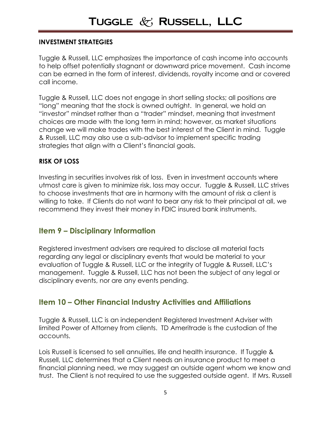#### **INVESTMENT STRATEGIES**

Tuggle & Russell, LLC emphasizes the importance of cash income into accounts to help offset potentially stagnant or downward price movement. Cash income can be earned in the form of interest, dividends, royalty income and or covered call income.

Tuggle & Russell, LLC does not engage in short selling stocks; all positions are "long" meaning that the stock is owned outright. In general, we hold an "investor" mindset rather than a "trader" mindset, meaning that investment choices are made with the long term in mind; however, as market situations change we will make trades with the best interest of the Client in mind. Tuggle & Russell, LLC may also use a sub-advisor to implement specific trading strategies that align with a Client's financial goals.

#### **RISK OF LOSS**

Investing in securities involves risk of loss. Even in investment accounts where utmost care is given to minimize risk, loss may occur. Tuggle & Russell, LLC strives to choose investments that are in harmony with the amount of risk a client is willing to take. If Clients do not want to bear any risk to their principal at all, we recommend they invest their money in FDIC insured bank instruments.

#### **Item 9 – Disciplinary Information**

Registered investment advisers are required to disclose all material facts regarding any legal or disciplinary events that would be material to your evaluation of Tuggle & Russell, LLC or the integrity of Tuggle & Russell, LLC's management. Tuggle & Russell, LLC has not been the subject of any legal or disciplinary events, nor are any events pending.

#### **Item 10 – Other Financial Industry Activities and Affiliations**

Tuggle & Russell, LLC is an independent Registered Investment Adviser with limited Power of Attorney from clients. TD Ameritrade is the custodian of the accounts.

Lois Russell is licensed to sell annuities, life and health insurance. If Tuggle & Russell, LLC determines that a Client needs an insurance product to meet a financial planning need, we may suggest an outside agent whom we know and trust. The Client is not required to use the suggested outside agent. If Mrs. Russell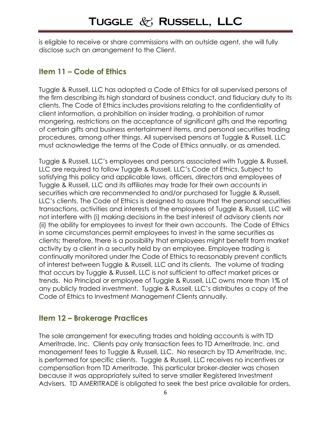is eligible to receive or share commissions with an outside agent, she will fully disclose such an arrangement to the Client.

### **Item 11 – Code of Ethics**

Tuggle & Russell, LLC has adopted a Code of Ethics for all supervised persons of the firm describing its high standard of business conduct, and fiduciary duty to its clients. The Code of Ethics includes provisions relating to the confidentiality of client information, a prohibition on insider trading, a prohibition of rumor mongering, restrictions on the acceptance of significant gifts and the reporting of certain gifts and business entertainment items, and personal securities trading procedures, among other things. All supervised persons at Tuggle & Russell, LLC must acknowledge the terms of the Code of Ethics annually, or as amended.

Tuggle & Russell, LLC's employees and persons associated with Tuggle & Russell, LLC are required to follow Tuggle & Russell, LLC's Code of Ethics. Subject to satisfying this policy and applicable laws, officers, directors and employees of Tuggle & Russell, LLC and its affiliates may trade for their own accounts in securities which are recommended to and/or purchased for Tuggle & Russell, LLC's clients. The Code of Ethics is designed to assure that the personal securities transactions, activities and interests of the employees of Tuggle & Russell, LLC will not interfere with (i) making decisions in the best interest of advisory clients nor (ii) the ability for employees to invest for their own accounts. The Code of Ethics in some circumstances permit employees to invest in the same securities as clients; therefore, there is a possibility that employees might benefit from market activity by a client in a security held by an employee. Employee trading is continually monitored under the Code of Ethics to reasonably prevent conflicts of interest between Tuggle & Russell, LLC and its clients. The volume of trading that occurs by Tuggle & Russell, LLC is not sufficient to affect market prices or trends. No Principal or employee of Tuggle & Russell, LLC owns more than 1% of any publicly traded investment. Tuggle & Russell, LLC's distributes a copy of the Code of Ethics to Investment Management Clients annually.

### **Item 12 – Brokerage Practices**

The sole arrangement for executing trades and holding accounts is with TD Ameritrade, Inc. Clients pay only transaction fees to TD Ameritrade, Inc. and management fees to Tuggle & Russell, LLC. No research by TD Ameritrade, Inc. is performed for specific clients. Tuggle & Russell, LLC receives no incentives or compensation from TD Ameritrade. This particular broker-dealer was chosen because it was appropriately suited to serve smaller Registered Investment Advisers. TD AMERITRADE is obligated to seek the best price available for orders,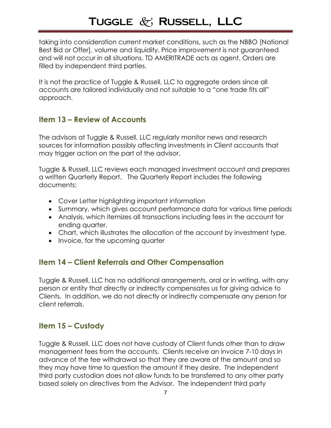taking into consideration current market conditions, such as the NBBO [National Best Bid or Offer], volume and liquidity. Price improvement is not guaranteed and will not occur in all situations. TD AMERITRADE acts as agent. Orders are filled by independent third parties.

It is not the practice of Tuggle & Russell, LLC to aggregate orders since all accounts are tailored individually and not suitable to a "one trade fits all" approach.

## **Item 13 – Review of Accounts**

The advisors at Tuggle & Russell, LLC regularly monitor news and research sources for information possibly affecting investments in Client accounts that may trigger action on the part of the advisor.

Tuggle & Russell, LLC reviews each managed investment account and prepares a written Quarterly Report. The Quarterly Report includes the following documents:

- Cover Letter highlighting important information
- Summary, which gives account performance data for various time periods
- Analysis, which itemizes all transactions including fees in the account for ending quarter.
- Chart, which illustrates the allocation of the account by investment type.
- Invoice, for the upcoming quarter

### **Item 14 – Client Referrals and Other Compensation**

Tuggle & Russell, LLC has no additional arrangements, oral or in writing, with any person or entity that directly or indirectly compensates us for giving advice to Clients. In addition, we do not directly or indirectly compensate any person for client referrals.

## **Item 15 – Custody**

Tuggle & Russell, LLC does not have custody of Client funds other than to draw management fees from the accounts. Clients receive an invoice 7-10 days in advance of the fee withdrawal so that they are aware of the amount and so they may have time to question the amount if they desire. The independent third party custodian does not allow funds to be transferred to any other party based solely on directives from the Advisor. The independent third party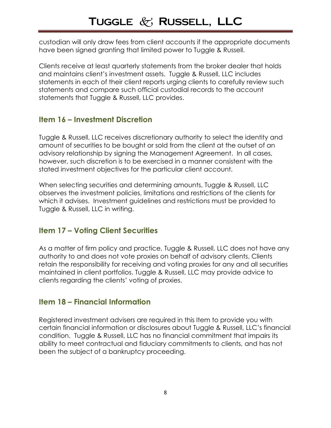custodian will only draw fees from client accounts if the appropriate documents have been signed granting that limited power to Tuggle & Russell.

Clients receive at least quarterly statements from the broker dealer that holds and maintains client's investment assets. Tuggle & Russell, LLC includes statements in each of their client reports urging clients to carefully review such statements and compare such official custodial records to the account statements that Tuggle & Russell, LLC provides.

## **Item 16 – Investment Discretion**

Tuggle & Russell, LLC receives discretionary authority to select the identity and amount of securities to be bought or sold from the client at the outset of an advisory relationship by signing the Management Agreement. In all cases, however, such discretion is to be exercised in a manner consistent with the stated investment objectives for the particular client account.

When selecting securities and determining amounts, Tuggle & Russell, LLC observes the investment policies, limitations and restrictions of the clients for which it advises. Investment guidelines and restrictions must be provided to Tuggle & Russell, LLC in writing.

## **Item 17 – Voting Client Securities**

As a matter of firm policy and practice, Tuggle & Russell, LLC does not have any authority to and does not vote proxies on behalf of advisory clients. Clients retain the responsibility for receiving and voting proxies for any and all securities maintained in client portfolios. Tuggle & Russell, LLC may provide advice to clients regarding the clients' voting of proxies.

## **Item 18 – Financial Information**

Registered investment advisers are required in this Item to provide you with certain financial information or disclosures about Tuggle & Russell, LLC's financial condition. Tuggle & Russell, LLC has no financial commitment that impairs its ability to meet contractual and fiduciary commitments to clients, and has not been the subject of a bankruptcy proceeding.